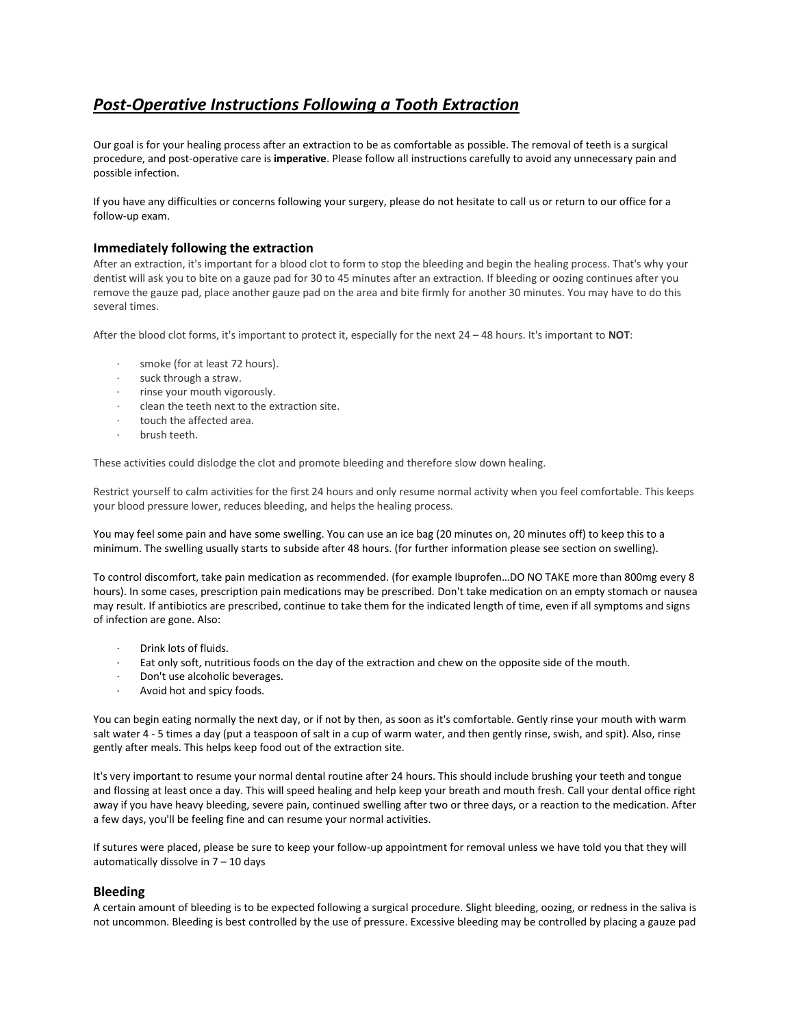# *Post-Operative Instructions Following a Tooth Extraction*

Our goal is for your healing process after an extraction to be as comfortable as possible. The removal of teeth is a surgical procedure, and post-operative care is **imperative**. Please follow all instructions carefully to avoid any unnecessary pain and possible infection.

If you have any difficulties or concerns following your surgery, please do not hesitate to call us or return to our office for a follow-up exam.

## **Immediately following the extraction**

After an extraction, it's important for a blood clot to form to stop the bleeding and begin the healing process. That's why your dentist will ask you to bite on a gauze pad for 30 to 45 minutes after an extraction. If bleeding or oozing continues after you remove the gauze pad, place another gauze pad on the area and bite firmly for another 30 minutes. You may have to do this several times.

After the blood clot forms, it's important to protect it, especially for the next 24 – 48 hours. It's important to **NOT**:

- smoke (for at least 72 hours).
- · suck through a straw.
- · rinse your mouth vigorously.
- · clean the teeth next to the extraction site.
- touch the affected area.
- · brush teeth.

These activities could dislodge the clot and promote bleeding and therefore slow down healing.

Restrict yourself to calm activities for the first 24 hours and only resume normal activity when you feel comfortable. This keeps your blood pressure lower, reduces bleeding, and helps the healing process.

You may feel some pain and have some swelling. You can use an ice bag (20 minutes on, 20 minutes off) to keep this to a minimum. The swelling usually starts to subside after 48 hours. (for further information please see section on swelling).

To control discomfort, take pain medication as recommended. (for example Ibuprofen…DO NO TAKE more than 800mg every 8 hours). In some cases, prescription pain medications may be prescribed. Don't take medication on an empty stomach or nausea may result. If antibiotics are prescribed, continue to take them for the indicated length of time, even if all symptoms and signs of infection are gone. Also:

- Drink lots of fluids.
- Eat only soft, nutritious foods on the day of the extraction and chew on the opposite side of the mouth.
- Don't use alcoholic beverages.
- Avoid hot and spicy foods.

You can begin eating normally the next day, or if not by then, as soon as it's comfortable. Gently rinse your mouth with warm salt water 4 - 5 times a day (put a teaspoon of salt in a cup of warm water, and then gently rinse, swish, and spit). Also, rinse gently after meals. This helps keep food out of the extraction site.

It's very important to resume your normal dental routine after 24 hours. This should include brushing your teeth and tongue and flossing at least once a day. This will speed healing and help keep your breath and mouth fresh. Call your dental office right away if you have heavy bleeding, severe pain, continued swelling after two or three days, or a reaction to the medication. After a few days, you'll be feeling fine and can resume your normal activities.

If sutures were placed, please be sure to keep your follow-up appointment for removal unless we have told you that they will automatically dissolve in 7 – 10 days

## **Bleeding**

A certain amount of bleeding is to be expected following a surgical procedure. Slight bleeding, oozing, or redness in the saliva is not uncommon. Bleeding is best controlled by the use of pressure. Excessive bleeding may be controlled by placing a gauze pad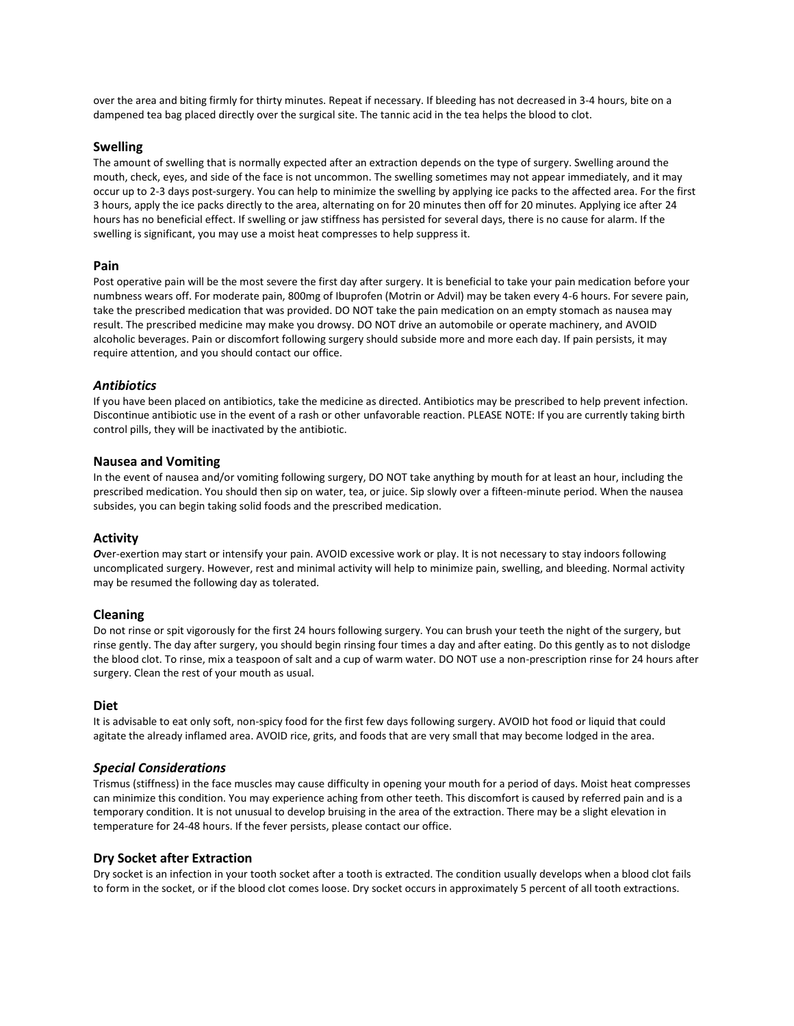over the area and biting firmly for thirty minutes. Repeat if necessary. If bleeding has not decreased in 3-4 hours, bite on a dampened tea bag placed directly over the surgical site. The tannic acid in the tea helps the blood to clot.

## **Swelling**

The amount of swelling that is normally expected after an extraction depends on the type of surgery. Swelling around the mouth, check, eyes, and side of the face is not uncommon. The swelling sometimes may not appear immediately, and it may occur up to 2-3 days post-surgery. You can help to minimize the swelling by applying ice packs to the affected area. For the first 3 hours, apply the ice packs directly to the area, alternating on for 20 minutes then off for 20 minutes. Applying ice after 24 hours has no beneficial effect. If swelling or jaw stiffness has persisted for several days, there is no cause for alarm. If the swelling is significant, you may use a moist heat compresses to help suppress it.

## **Pain**

Post operative pain will be the most severe the first day after surgery. It is beneficial to take your pain medication before your numbness wears off. For moderate pain, 800mg of Ibuprofen (Motrin or Advil) may be taken every 4-6 hours. For severe pain, take the prescribed medication that was provided. DO NOT take the pain medication on an empty stomach as nausea may result. The prescribed medicine may make you drowsy. DO NOT drive an automobile or operate machinery, and AVOID alcoholic beverages. Pain or discomfort following surgery should subside more and more each day. If pain persists, it may require attention, and you should contact our office.

## *Antibiotics*

If you have been placed on antibiotics, take the medicine as directed. Antibiotics may be prescribed to help prevent infection. Discontinue antibiotic use in the event of a rash or other unfavorable reaction. PLEASE NOTE: If you are currently taking birth control pills, they will be inactivated by the antibiotic.

## **Nausea and Vomiting**

In the event of nausea and/or vomiting following surgery, DO NOT take anything by mouth for at least an hour, including the prescribed medication. You should then sip on water, tea, or juice. Sip slowly over a fifteen-minute period. When the nausea subsides, you can begin taking solid foods and the prescribed medication.

#### **Activity**

*O*ver-exertion may start or intensify your pain. AVOID excessive work or play. It is not necessary to stay indoors following uncomplicated surgery. However, rest and minimal activity will help to minimize pain, swelling, and bleeding. Normal activity may be resumed the following day as tolerated.

#### **Cleaning**

Do not rinse or spit vigorously for the first 24 hours following surgery. You can brush your teeth the night of the surgery, but rinse gently. The day after surgery, you should begin rinsing four times a day and after eating. Do this gently as to not dislodge the blood clot. To rinse, mix a teaspoon of salt and a cup of warm water. DO NOT use a non-prescription rinse for 24 hours after surgery. Clean the rest of your mouth as usual.

#### **Diet**

It is advisable to eat only soft, non-spicy food for the first few days following surgery. AVOID hot food or liquid that could agitate the already inflamed area. AVOID rice, grits, and foods that are very small that may become lodged in the area.

#### *Special Considerations*

Trismus (stiffness) in the face muscles may cause difficulty in opening your mouth for a period of days. Moist heat compresses can minimize this condition. You may experience aching from other teeth. This discomfort is caused by referred pain and is a temporary condition. It is not unusual to develop bruising in the area of the extraction. There may be a slight elevation in temperature for 24-48 hours. If the fever persists, please contact our office.

#### **Dry Socket after Extraction**

Dry socket is an infection in your tooth socket after a tooth is extracted. The condition usually develops when a blood clot fails to form in the socket, or if the blood clot comes loose. Dry socket occurs in approximately 5 percent of all tooth extractions.